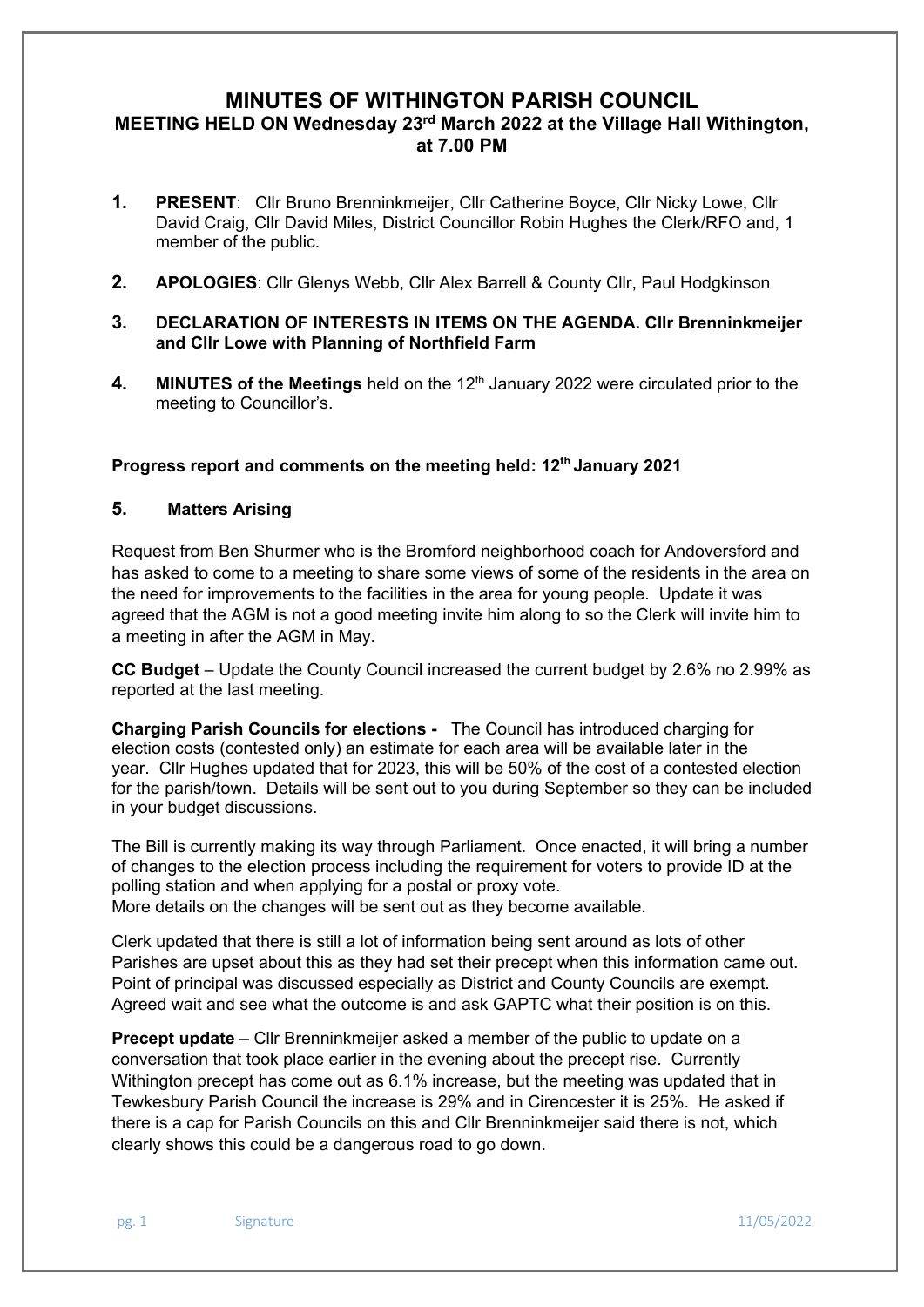# **MINUTES OF WITHINGTON PARISH COUNCIL MEETING HELD ON Wednesday 23rd March 2022 at the Village Hall Withington, at 7.00 PM**

- **1. PRESENT**: Cllr Bruno Brenninkmeijer, Cllr Catherine Boyce, Cllr Nicky Lowe, Cllr David Craig, Cllr David Miles, District Councillor Robin Hughes the Clerk/RFO and, 1 member of the public.
- **2. APOLOGIES**: Cllr Glenys Webb, Cllr Alex Barrell & County Cllr, Paul Hodgkinson
- **3. DECLARATION OF INTERESTS IN ITEMS ON THE AGENDA. Cllr Brenninkmeijer and Cllr Lowe with Planning of Northfield Farm**
- **4. MINUTES of the Meetings** held on the 12<sup>th</sup> January 2022 were circulated prior to the meeting to Councillor's.

Progress report and comments on the meeting held: 12<sup>th</sup> January 2021

### **5. Matters Arising**

Request from Ben Shurmer who is the Bromford neighborhood coach for Andoversford and has asked to come to a meeting to share some views of some of the residents in the area on the need for improvements to the facilities in the area for young people. Update it was agreed that the AGM is not a good meeting invite him along to so the Clerk will invite him to a meeting in after the AGM in May.

**CC Budget** – Update the County Council increased the current budget by 2.6% no 2.99% as reported at the last meeting.

**Charging Parish Councils for elections -** The Council has introduced charging for election costs (contested only) an estimate for each area will be available later in the year. Cllr Hughes updated that for 2023, this will be 50% of the cost of a contested election for the parish/town. Details will be sent out to you during September so they can be included in your budget discussions.

The Bill is currently making its way through Parliament. Once enacted, it will bring a number of changes to the election process including the requirement for voters to provide ID at the polling station and when applying for a postal or proxy vote.

More details on the changes will be sent out as they become available.

Clerk updated that there is still a lot of information being sent around as lots of other Parishes are upset about this as they had set their precept when this information came out. Point of principal was discussed especially as District and County Councils are exempt. Agreed wait and see what the outcome is and ask GAPTC what their position is on this.

**Precept update** – Cllr Brenninkmeijer asked a member of the public to update on a conversation that took place earlier in the evening about the precept rise. Currently Withington precept has come out as 6.1% increase, but the meeting was updated that in Tewkesbury Parish Council the increase is 29% and in Cirencester it is 25%. He asked if there is a cap for Parish Councils on this and Cllr Brenninkmeijer said there is not, which clearly shows this could be a dangerous road to go down.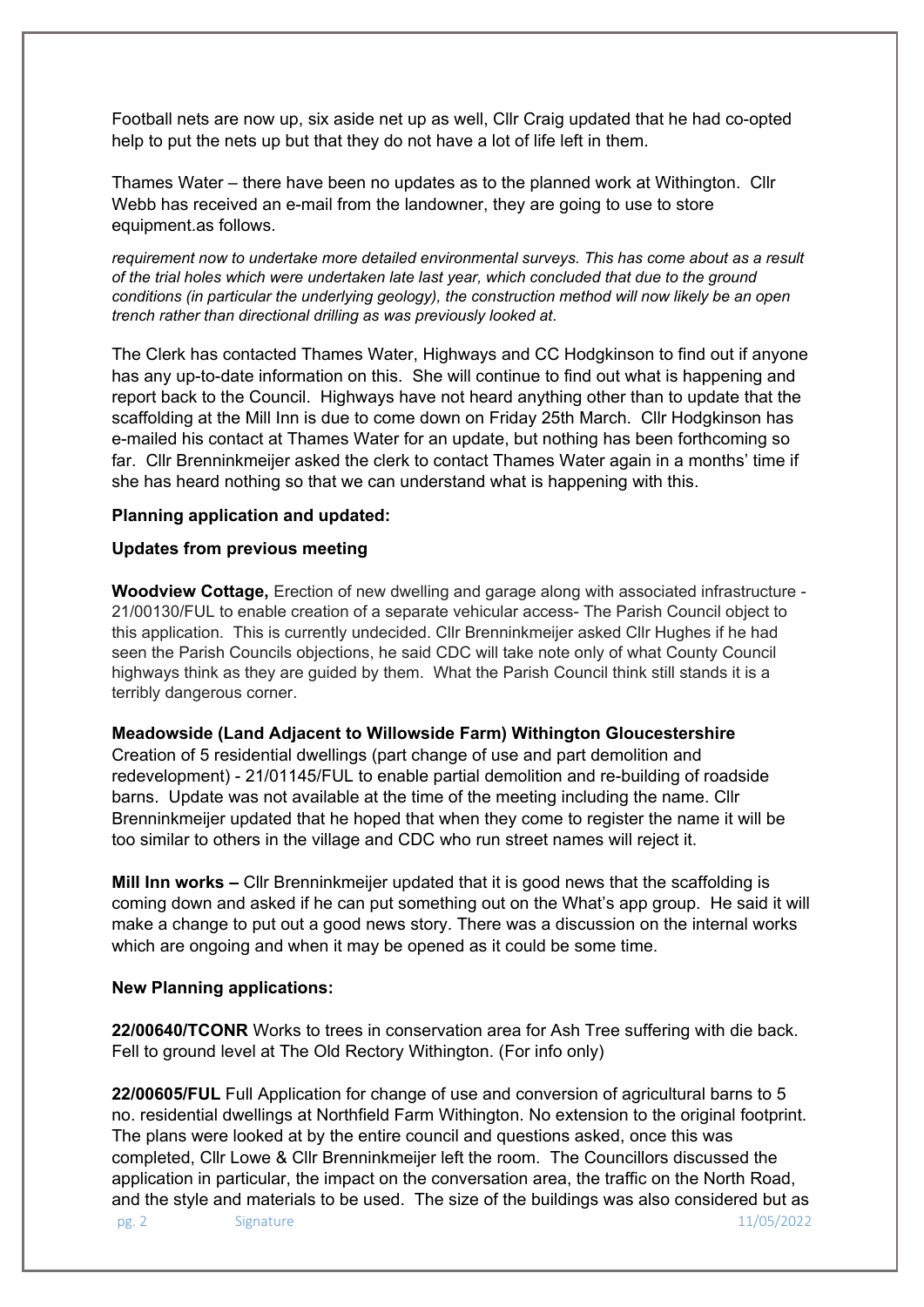Football nets are now up, six aside net up as well, Cllr Craig updated that he had co-opted help to put the nets up but that they do not have a lot of life left in them.

Thames Water – there have been no updates as to the planned work at Withington. Cllr Webb has received an e-mail from the landowner, they are going to use to store equipment.as follows.

*requirement now to undertake more detailed environmental surveys. This has come about as a result of the trial holes which were undertaken late last year, which concluded that due to the ground conditions (in particular the underlying geology), the construction method will now likely be an open trench rather than directional drilling as was previously looked at*.

The Clerk has contacted Thames Water, Highways and CC Hodgkinson to find out if anyone has any up-to-date information on this. She will continue to find out what is happening and report back to the Council. Highways have not heard anything other than to update that the scaffolding at the Mill Inn is due to come down on Friday 25th March. Cllr Hodgkinson has e-mailed his contact at Thames Water for an update, but nothing has been forthcoming so far. Cllr Brenninkmeijer asked the clerk to contact Thames Water again in a months' time if she has heard nothing so that we can understand what is happening with this.

#### **Planning application and updated:**

### **Updates from previous meeting**

**Woodview Cottage,** Erection of new dwelling and garage along with associated infrastructure - 21/00130/FUL to enable creation of a separate vehicular access- The Parish Council object to this application. This is currently undecided. Cllr Brenninkmeijer asked Cllr Hughes if he had seen the Parish Councils objections, he said CDC will take note only of what County Council highways think as they are guided by them. What the Parish Council think still stands it is a terribly dangerous corner.

#### **Meadowside (Land Adjacent to Willowside Farm) Withington Gloucestershire**

Creation of 5 residential dwellings (part change of use and part demolition and redevelopment) - 21/01145/FUL to enable partial demolition and re-building of roadside barns. Update was not available at the time of the meeting including the name. Cllr Brenninkmeijer updated that he hoped that when they come to register the name it will be too similar to others in the village and CDC who run street names will reject it.

**Mill Inn works –** Cllr Brenninkmeijer updated that it is good news that the scaffolding is coming down and asked if he can put something out on the What's app group. He said it will make a change to put out a good news story. There was a discussion on the internal works which are ongoing and when it may be opened as it could be some time.

## **New Planning applications:**

**22/00640/TCONR** Works to trees in conservation area for Ash Tree suffering with die back. Fell to ground level at The Old Rectory Withington. (For info only)

pg. 2 Signature 11/05/2022 **22/00605/FUL** Full Application for change of use and conversion of agricultural barns to 5 no. residential dwellings at Northfield Farm Withington. No extension to the original footprint. The plans were looked at by the entire council and questions asked, once this was completed, Cllr Lowe & Cllr Brenninkmeijer left the room. The Councillors discussed the application in particular, the impact on the conversation area, the traffic on the North Road, and the style and materials to be used. The size of the buildings was also considered but as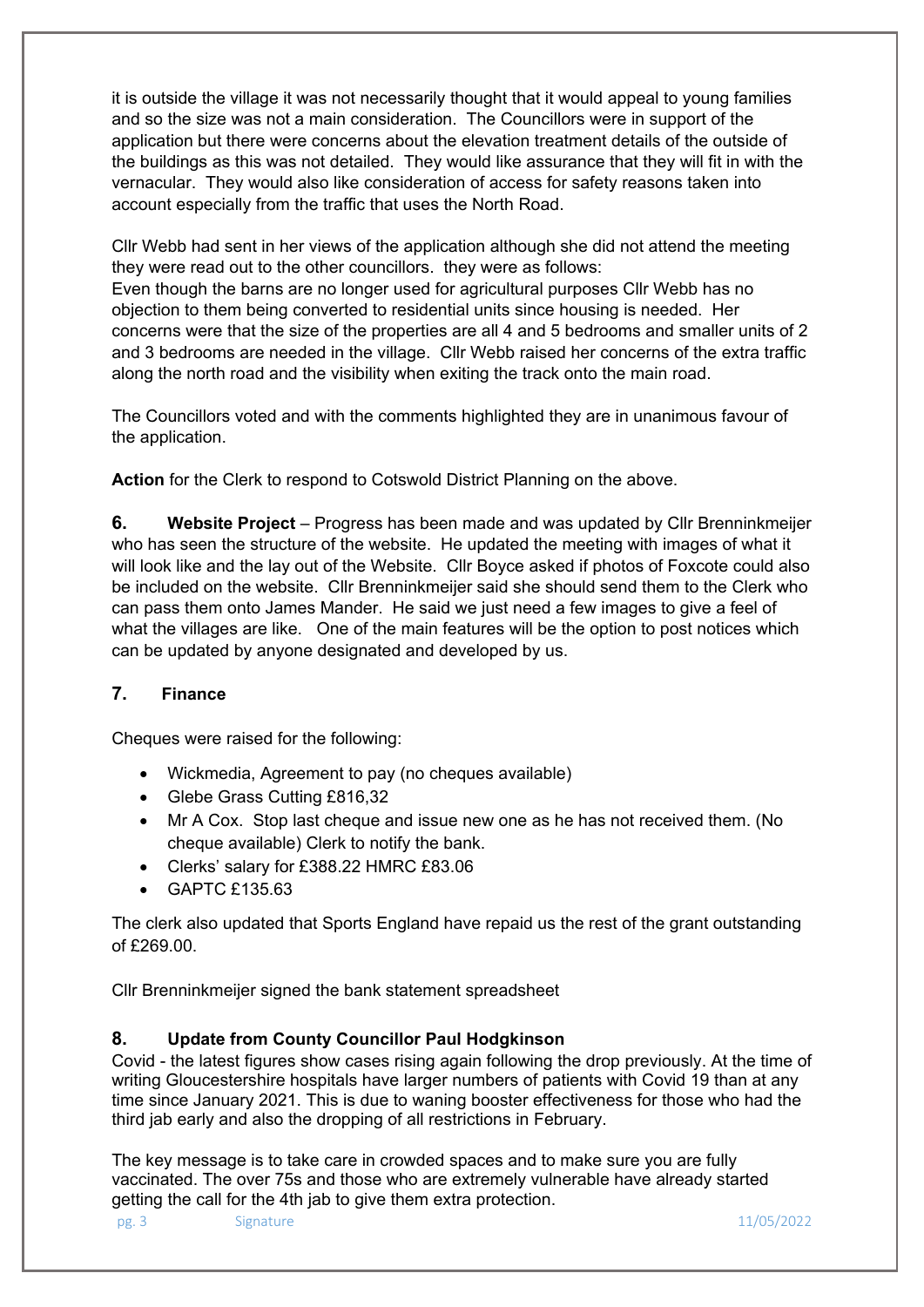it is outside the village it was not necessarily thought that it would appeal to young families and so the size was not a main consideration. The Councillors were in support of the application but there were concerns about the elevation treatment details of the outside of the buildings as this was not detailed. They would like assurance that they will fit in with the vernacular. They would also like consideration of access for safety reasons taken into account especially from the traffic that uses the North Road.

Cllr Webb had sent in her views of the application although she did not attend the meeting they were read out to the other councillors. they were as follows: Even though the barns are no longer used for agricultural purposes Cllr Webb has no objection to them being converted to residential units since housing is needed. Her concerns were that the size of the properties are all 4 and 5 bedrooms and smaller units of 2 and 3 bedrooms are needed in the village. Cllr Webb raised her concerns of the extra traffic along the north road and the visibility when exiting the track onto the main road.

The Councillors voted and with the comments highlighted they are in unanimous favour of the application.

**Action** for the Clerk to respond to Cotswold District Planning on the above.

**6. Website Project** – Progress has been made and was updated by Cllr Brenninkmeijer who has seen the structure of the website. He updated the meeting with images of what it will look like and the lay out of the Website. Cllr Boyce asked if photos of Foxcote could also be included on the website. Cllr Brenninkmeijer said she should send them to the Clerk who can pass them onto James Mander. He said we just need a few images to give a feel of what the villages are like. One of the main features will be the option to post notices which can be updated by anyone designated and developed by us.

# **7. Finance**

Cheques were raised for the following:

- Wickmedia, Agreement to pay (no cheques available)
- Glebe Grass Cutting £816,32
- Mr A Cox. Stop last cheque and issue new one as he has not received them. (No cheque available) Clerk to notify the bank.
- Clerks' salary for £388.22 HMRC £83.06
- GAPTC £135.63

The clerk also updated that Sports England have repaid us the rest of the grant outstanding of £269.00.

Cllr Brenninkmeijer signed the bank statement spreadsheet

# **8. Update from County Councillor Paul Hodgkinson**

Covid - the latest figures show cases rising again following the drop previously. At the time of writing Gloucestershire hospitals have larger numbers of patients with Covid 19 than at any time since January 2021. This is due to waning booster effectiveness for those who had the third jab early and also the dropping of all restrictions in February.

The key message is to take care in crowded spaces and to make sure you are fully vaccinated. The over 75s and those who are extremely vulnerable have already started getting the call for the 4th jab to give them extra protection.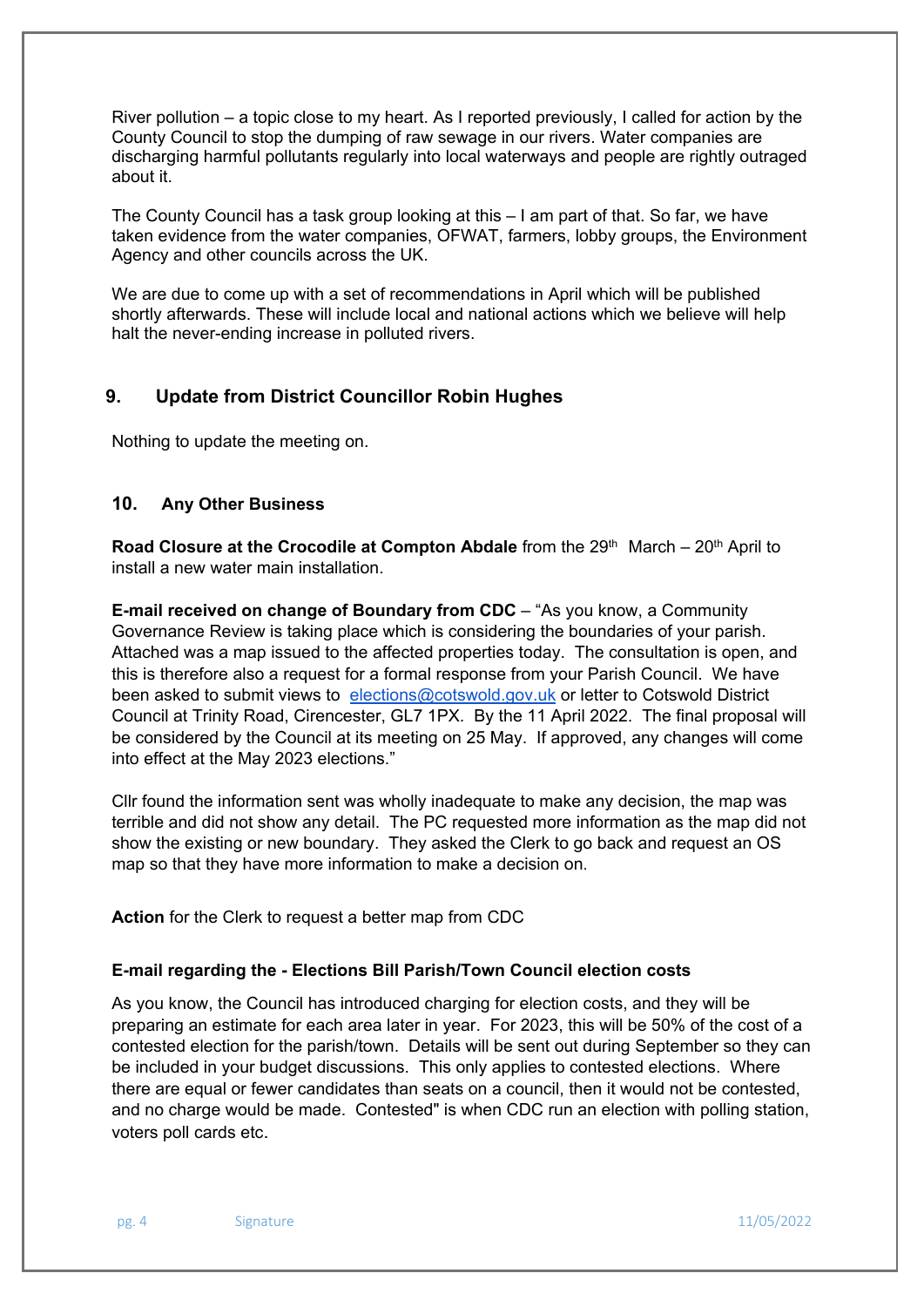River pollution – a topic close to my heart. As I reported previously, I called for action by the County Council to stop the dumping of raw sewage in our rivers. Water companies are discharging harmful pollutants regularly into local waterways and people are rightly outraged about it.

The County Council has a task group looking at this – I am part of that. So far, we have taken evidence from the water companies, OFWAT, farmers, lobby groups, the Environment Agency and other councils across the UK.

We are due to come up with a set of recommendations in April which will be published shortly afterwards. These will include local and national actions which we believe will help halt the never-ending increase in polluted rivers.

# **9. Update from District Councillor Robin Hughes**

Nothing to update the meeting on.

## **10. Any Other Business**

**Road Closure at the Crocodile at Compton Abdale** from the 29<sup>th</sup> March – 20<sup>th</sup> April to install a new water main installation.

**E-mail received on change of Boundary from CDC** – "As you know, a Community Governance Review is taking place which is considering the boundaries of your parish. Attached was a map issued to the affected properties today. The consultation is open, and this is therefore also a request for a formal response from your Parish Council. We have been asked to submit views to elections@cotswold.gov.uk or letter to Cotswold District Council at Trinity Road, Cirencester, GL7 1PX. By the 11 April 2022. The final proposal will be considered by the Council at its meeting on 25 May. If approved, any changes will come into effect at the May 2023 elections."

Cllr found the information sent was wholly inadequate to make any decision, the map was terrible and did not show any detail. The PC requested more information as the map did not show the existing or new boundary. They asked the Clerk to go back and request an OS map so that they have more information to make a decision on.

**Action** for the Clerk to request a better map from CDC

#### **E-mail regarding the - Elections Bill Parish/Town Council election costs**

As you know, the Council has introduced charging for election costs, and they will be preparing an estimate for each area later in year. For 2023, this will be 50% of the cost of a contested election for the parish/town. Details will be sent out during September so they can be included in your budget discussions. This only applies to contested elections. Where there are equal or fewer candidates than seats on a council, then it would not be contested, and no charge would be made. Contested" is when CDC run an election with polling station, voters poll cards etc.